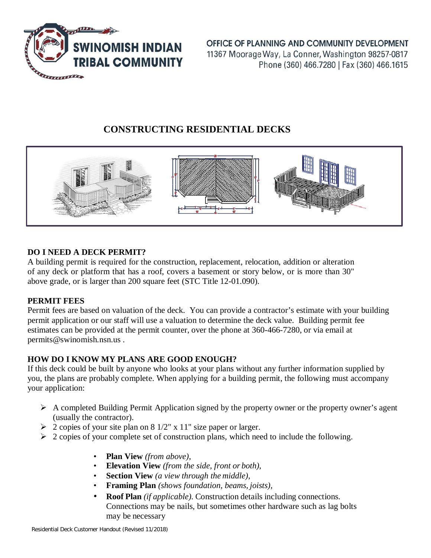

OFFICE OF PLANNING AND COMMUNITY DEVELOPMENT 11367 Moorage Way, La Conner, Washington 98257-0817 Phone (360) 466.7280 | Fax (360) 466.1615

# **CONSTRUCTING RESIDENTIAL DECKS**



# **DO I NEED A DECK PERMIT?**

A building permit is required for the construction, replacement, relocation, addition or alteration of any deck or platform that has a roof, covers a basement or story below, or is more than 30" above grade, or is larger than 200 square feet (STC Title 12-01.090).

## **PERMIT FEES**

Permit fees are based on valuation of the deck. You can provide a contractor's estimate with your building permit application or our staff will use a valuation to determine the deck value. Building permit fee estimates can be provided at the permit counter, over the phone at 360-466-7280, or via email at permits@swinomish.nsn.us .

# **HOW DO I KNOW MY PLANS ARE GOOD ENOUGH?**

If this deck could be built by anyone who looks at your plans without any further information supplied by you, the plans are probably complete. When applying for a building permit, the following must accompany your application:

- $\triangleright$  A completed Building Permit Application signed by the property owner or the property owner's agent (usually the contractor).
- $\geq 2$  copies of your site plan on 8 1/2" x 11" size paper or larger.
- $\geq 2$  copies of your complete set of construction plans, which need to include the following.
	- **Plan View** *(from above)*,
	- **Elevation View** *(from the side, front or both)*,
	- **Section View** *(a view through the middle)*,
	- **Framing Plan** *(shows foundation, beams, joists),*
	- **Roof Plan** *(if applicable).* Construction details including connections. Connections may be nails, but sometimes other hardware such as lag bolts may be necessary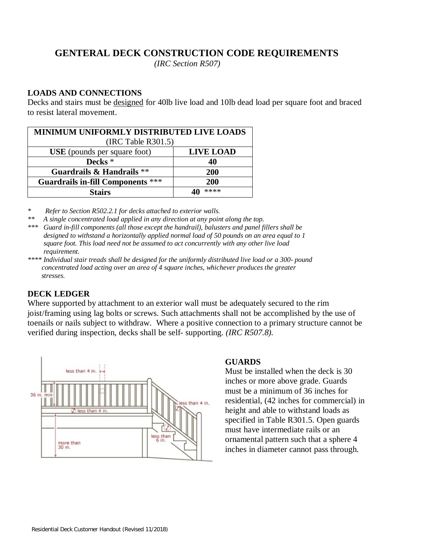# **GENTERAL DECK CONSTRUCTION CODE REQUIREMENTS**

*(IRC Section R507)*

## **LOADS AND CONNECTIONS**

Decks and stairs must be designed for 40lb live load and 10lb dead load per square foot and braced to resist lateral movement.

| <b>MINIMUM UNIFORMLY DISTRIBUTED LIVE LOADS</b><br>(IRC Table R301.5) |                  |
|-----------------------------------------------------------------------|------------------|
| <b>USE</b> (pounds per square foot)                                   | <b>LIVE LOAD</b> |
| Decks <sup>*</sup>                                                    | 40               |
| Guardrails & Handrails **                                             | <b>200</b>       |
| <b>Guardrails in-fill Components ***</b>                              | <b>200</b>       |
| Stairs                                                                | ****             |

*\* Refer to Section R502.2.1 for decks attached to exterior walls.*

*\*\* A single concentrated load applied in any direction at any point along the top.*

*\*\*\* Guard in-fill components (all those except the handrail), balusters and panel fillers shall be designed to withstand a horizontally applied normal load of 50 pounds on an area equal to 1 square foot. This load need not be assumed to act concurrently with any other live load requirement.*

*\*\*\*\* Individual stair treads shall be designed for the uniformly distributed live load or a 300- pound concentrated load acting over an area of 4 square inches, whichever produces the greater stresses.*

#### **DECK LEDGER**

Where supported by attachment to an exterior wall must be adequately secured to the rim joist/framing using lag bolts or screws. Such attachments shall not be accomplished by the use of toenails or nails subject to withdraw. Where a positive connection to a primary structure cannot be verified during inspection, decks shall be self- supporting. *(IRC R507.8).*



#### **GUARDS**

Must be installed when the deck is 30 inches or more above grade. Guards must be a minimum of 36 inches for residential, (42 inches for commercial) in height and able to withstand loads as specified in Table R301.5. Open guards must have intermediate rails or an ornamental pattern such that a sphere 4 inches in diameter cannot pass through.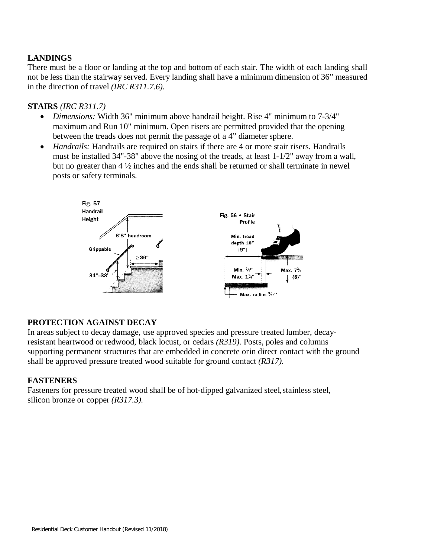# **LANDINGS**

There must be a floor or landing at the top and bottom of each stair. The width of each landing shall not be less than the stairway served. Every landing shall have a minimum dimension of 36" measured in the direction of travel *(IRC R311.7.6).*

#### **STAIRS** *(IRC R311.7)*

- *Dimensions:* Width 36" minimum above handrail height. Rise 4" minimum to 7-3/4" maximum and Run 10" minimum. Open risers are permitted provided that the opening between the treads does not permit the passage of a 4" diameter sphere.
- *Handrails:* Handrails are required on stairs if there are 4 or more stair risers. Handrails must be installed 34"-38" above the nosing of the treads, at least 1-1/2" away from a wall, but no greater than 4 ½ inches and the ends shall be returned or shall terminate in newel posts or safety terminals.



## **PROTECTION AGAINST DECAY**

In areas subject to decay damage, use approved species and pressure treated lumber, decayresistant heartwood or redwood, black locust, or cedars *(R319).* Posts, poles and columns supporting permanent structures that are embedded in concrete orin direct contact with the ground shall be approved pressure treated wood suitable for ground contact *(R317).*

## **FASTENERS**

Fasteners for pressure treated wood shall be of hot-dipped galvanized steel, stainless steel, silicon bronze or copper *(R317.3).*